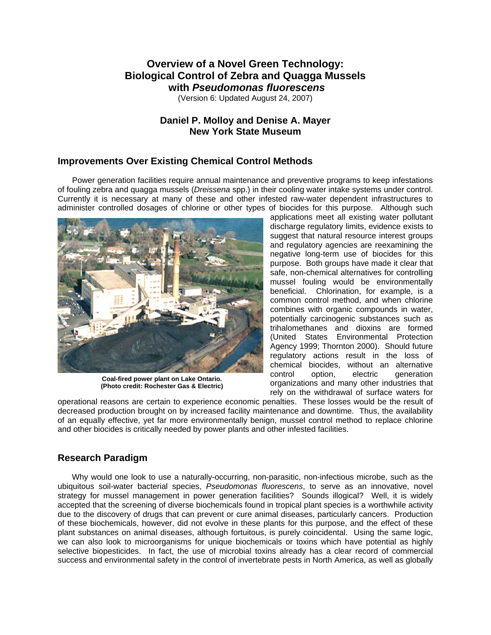# **Overview of a Novel Green Technology: Biological Control of Zebra and Quagga Mussels with** *Pseudomonas fluorescens*

(Version 6: Updated August 24, 2007)

# **Daniel P. Molloy and Denise A. Mayer New York State Museum**

# **Improvements Over Existing Chemical Control Methods**

Power generation facilities require annual maintenance and preventive programs to keep infestations of fouling zebra and quagga mussels (*Dreissena* spp.) in their cooling water intake systems under control. Currently it is necessary at many of these and other infested raw-water dependent infrastructures to administer controlled dosages of chlorine or other types of biocides for this purpose. Although such



**Coal-fired power plant on Lake Ontario. (Photo credit: Rochester Gas & Electric)**

applications meet all existing water pollutant discharge regulatory limits, evidence exists to suggest that natural resource interest groups and regulatory agencies are reexamining the negative long-term use of biocides for this purpose. Both groups have made it clear that safe, non-chemical alternatives for controlling mussel fouling would be environmentally beneficial. Chlorination, for example, is a common control method, and when chlorine combines with organic compounds in water, potentially carcinogenic substances such as trihalomethanes and dioxins are formed (United States Environmental Protection Agency 1999; Thornton 2000). Should future regulatory actions result in the loss of chemical biocides, without an alternative control option, electric generation organizations and many other industries that rely on the withdrawal of surface waters for

operational reasons are certain to experience economic penalties. These losses would be the result of decreased production brought on by increased facility maintenance and downtime. Thus, the availability of an equally effective, yet far more environmentally benign, mussel control method to replace chlorine and other biocides is critically needed by power plants and other infested facilities.

# **Research Paradigm**

Why would one look to use a naturally-occurring, non-parasitic, non-infectious microbe, such as the ubiquitous soil-water bacterial species, *Pseudomonas fluorescens*, to serve as an innovative, novel strategy for mussel management in power generation facilities? Sounds illogical? Well, it is widely accepted that the screening of diverse biochemicals found in tropical plant species is a worthwhile activity due to the discovery of drugs that can prevent or cure animal diseases, particularly cancers. Production of these biochemicals, however, did not evolve in these plants for this purpose, and the effect of these plant substances on animal diseases, although fortuitous, is purely coincidental. Using the same logic, we can also look to microorganisms for unique biochemicals or toxins which have potential as highly selective biopesticides. In fact, the use of microbial toxins already has a clear record of commercial success and environmental safety in the control of invertebrate pests in North America, as well as globally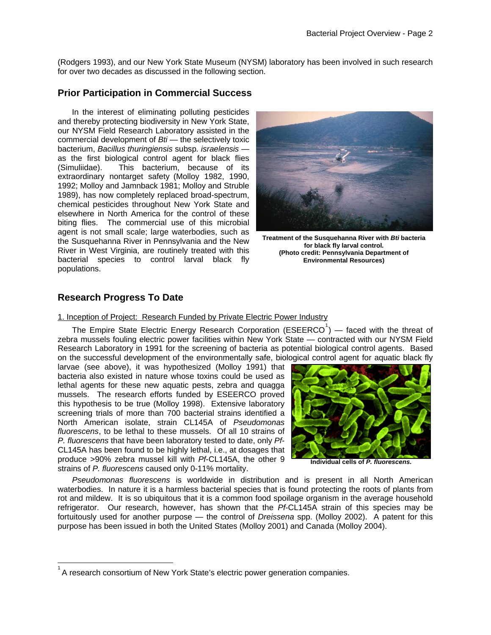(Rodgers 1993), and our New York State Museum (NYSM) laboratory has been involved in such research for over two decades as discussed in the following section.

# **Prior Participation in Commercial Success**

In the interest of eliminating polluting pesticides and thereby protecting biodiversity in New York State, our NYSM Field Research Laboratory assisted in the commercial development of *Bti* — the selectively toxic bacterium, *Bacillus thuringiensis* subsp*. israelensis* as the first biological control agent for black flies (Simuliidae). This bacterium, because of its extraordinary nontarget safety (Molloy 1982, 1990, 1992; Molloy and Jamnback 1981; Molloy and Struble 1989), has now completely replaced broad-spectrum, chemical pesticides throughout New York State and elsewhere in North America for the control of these biting flies. The commercial use of this microbial agent is not small scale; large waterbodies, such as the Susquehanna River in Pennsylvania and the New River in West Virginia, are routinely treated with this bacterial species to control larval black fly populations.



**Treatment of the Susquehanna River with** *Bti* **bacte ria for black fly larval control***.* **(Photo credit: Pennsylvania Department of Environmental Resources)** 

# **Research Progress To Date**

-

1. Inception of Project: Research Funded by Private Electric Power Industry

The Empire State Electric Energy Research Corporation (ESEERCO<sup>[1](#page-1-0)</sup>) — faced with the threat of zebra mussels fouling electric power facilities within New York State — contracted with our NYSM Field Research Laboratory in 1991 for the screening of bacteria as potential biological control agents. Based on the successful development of the environmentally safe, biological control agent for aquatic black fly

larvae (see above), it was hypothesized (Molloy 1991) that bacteria also existed in nature whose toxins could be used as lethal agents for these new aquatic pests, zebra and quagga mussels. The research efforts funded by ESEERCO proved this hypothesis to be true (Molloy 1998). Extensive laboratory screening trials of more than 700 bacterial strains identified a North American isolate, strain CL145A of *Pseudomonas fluorescens*, to be lethal to these mussels. Of all 10 strains of *P. fluorescens* that have been laboratory tested to date, only *Pf*-CL145A has been found to be highly lethal, i.e., at dosages that produce >90% zebra mussel kill with *Pf*-CL145A, the other 9 strains of *P. fluorescens* caused only 0-11% mortality.



**Individual cells of** *P. fluorescens.*

*Pseudomonas fluorescens* is worldwide in distribution and is present in all North American waterbodies. In nature it is a harmless bacterial species that is found protecting the roots of plants from rot and mildew. It is so ubiquitous that it is a common food spoilage organism in the average household refrigerator. Our research, however, has shown that the *Pf*-CL145A strain of this species may be fortuitously used for another purpose — the control of *Dreissena* spp. (Molloy 2002). A patent for this purpose has been issued in both the United States (Molloy 2001) and Canada (Molloy 2004).

<span id="page-1-0"></span><sup>1</sup> A research consortium of New York State's electric power generation companies.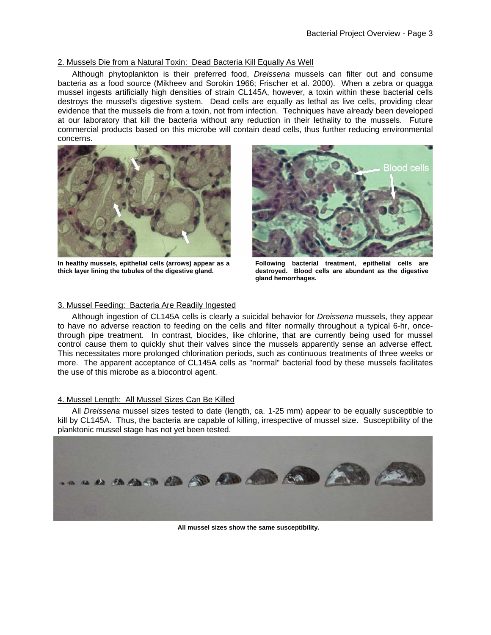#### 2. Mussels Die from a Natural Toxin: Dead Bacteria Kill Equally As Well

Although phytoplankton is their preferred food, *Dreissena* mussels can filter out and consume bacteria as a food source (Mikheev and Sorokin 1966; Frischer et al. 2000). When a zebra or quagga mussel ingests artificially high densities of strain CL145A, however, a toxin within these bacterial cells destroys the mussel's digestive system. Dead cells are equally as lethal as live cells, providing clear evidence that the mussels die from a toxin, not from infection. Techniques have already been developed at our laboratory that kill the bacteria without any reduction in their lethality to the mussels. Future commercial products based on this microbe will contain dead cells, thus further reducing environmental concerns.



**In healthy mussels, epithelial cells (arrows) appear as a thick layer lining the tubules of the digestive gland.** 



**Following bacterial treatment, epithelial cells are destroyed. Blood cells are abundant as the digestive gland hemorrhages.** 

#### 3. Mussel Feeding: Bacteria Are Readily Ingested

Although ingestion of CL145A cells is clearly a suicidal behavior for *Dreissena* mussels, they appear to have no adverse reaction to feeding on the cells and filter normally throughout a typical 6-hr, oncethrough pipe treatment. In contrast, biocides, like chlorine, that are currently being used for mussel control cause them to quickly shut their valves since the mussels apparently sense an adverse effect. This necessitates more prolonged chlorination periods, such as continuous treatments of three weeks or more. The apparent acceptance of CL145A cells as "normal" bacterial food by these mussels facilitates the use of this microbe as a biocontrol agent.

#### 4. Mussel Length: All Mussel Sizes Can Be Killed

All *Dreissena* mussel sizes tested to date (length, ca. 1-25 mm) appear to be equally susceptible to kill by CL145A. Thus, the bacteria are capable of killing, irrespective of mussel size. Susceptibility of the planktonic mussel stage has not yet been tested.



**All mussel sizes show the same susceptibility.**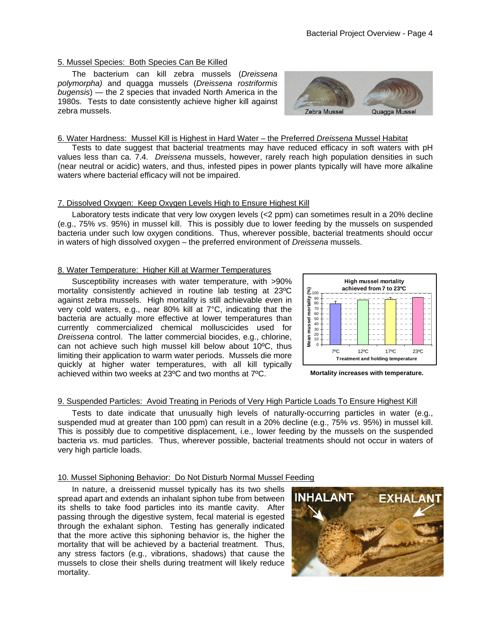#### 5. Mussel Species: Both Species Can Be Killed

The bacterium can kill zebra mussels (*Dreissena polymorpha)* and quagga mussels (*Dreissena rostriformis bugensis*) — the 2 species that invaded North America in the 1980s. Tests to date consistently achieve higher kill against zebra mussels.



#### 6. Water Hardness: Mussel Kill is Highest in Hard Water – the Preferred *Dreissena* Mussel Habitat

Tests to date suggest that bacterial treatments may have reduced efficacy in soft waters with pH values less than ca. 7.4.*Dreissena* mussels, however, rarely reach high population densities in such (near neutral or acidic) waters, and thus, infested pipes in power plants typically will have more alkaline waters where bacterial efficacy will not be impaired.

### 7. Dissolved Oxygen: Keep Oxygen Levels High to Ensure Highest Kill

Laboratory tests indicate that very low oxygen levels (<2 ppm) can sometimes result in a 20% decline (e.g., 75% *vs*. 95%) in mussel kill. This is possibly due to lower feeding by the mussels on suspended bacteria under such low oxygen conditions. Thus, wherever possible, bacterial treatments should occur in waters of high dissolved oxygen – the preferred environment of *Dreissena* mussels.

### 8. Water Temperature: Higher Kill at Warmer Temperatures

Susceptibility increases with water temperature, with >90% mortality consistently achieved in routine lab testing at 23ºC against zebra mussels. High mortality is still achievable even in very cold waters, e.g., near 80% kill at 7°C, indicating that the bacteria are actually more effective at lower temperatures than currently commercialized chemical molluscicides used for *Dreissena* control. The latter commercial biocides, e.g., chlorine, can not achieve such high mussel kill below about 10ºC, thus limiting their application to warm water periods. Mussels die more quickly at higher water temperatures, with all kill typically achieved within two weeks at 23<sup>o</sup>C and two months at 7<sup>o</sup>C. **Mortality increases with temperature.** 



### 9. Suspended Particles: Avoid Treating in Periods of Very High Particle Loads To Ensure Highest Kill

Tests to date indicate that unusually high levels of naturally-occurring particles in water (e.g., suspended mud at greater than 100 ppm) can result in a 20% decline (e.g., 75% *vs*. 95%) in mussel kill. This is possibly due to competitive displacement, i.e., lower feeding by the mussels on the suspended bacteria *vs.* mud particles. Thus, wherever possible, bacterial treatments should not occur in waters of very high particle loads.

### 10. Mussel Siphoning Behavior: Do Not Disturb Normal Mussel Feeding

In nature, a dreissenid mussel typically has its two shells spread apart and extends an inhalant siphon tube from between its shells to take food particles into its mantle cavity. After passing through the digestive system, fecal material is egested through the exhalant siphon. Testing has generally indicated that the more active this siphoning behavior is, the higher the mortality that will be achieved by a bacterial treatment. Thus, any stress factors (e.g., vibrations, shadows) that cause the mussels to close their shells during treatment will likely reduce mortality.

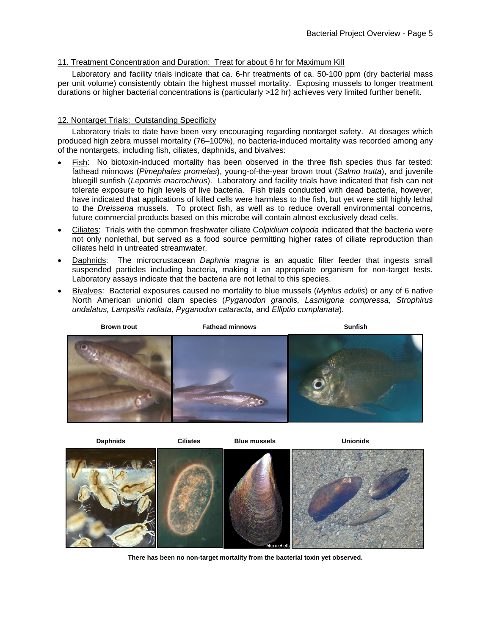### 11. Treatment Concentration and Duration: Treat for about 6 hr for Maximum Kill

Laboratory and facility trials indicate that ca. 6-hr treatments of ca. 50-100 ppm (dry bacterial mass per unit volume) consistently obtain the highest mussel mortality. Exposing mussels to longer treatment durations or higher bacterial concentrations is (particularly >12 hr) achieves very limited further benefit.

### 12. Nontarget Trials: Outstanding Specificity

Laboratory trials to date have been very encouraging regarding nontarget safety. At dosages which produced high zebra mussel mortality (76–100%), no bacteria-induced mortality was recorded among any of the nontargets, including fish, ciliates, daphnids, and bivalves:

- Fish: No biotoxin-induced mortality has been observed in the three fish species thus far tested: fathead minnows (*Pimephales promelas*), young-of-the-year brown trout (*Salmo trutta*), and juvenile bluegill sunfish (*Lepomis macrochirus*). Laboratory and facility trials have indicated that fish can not tolerate exposure to high levels of live bacteria. Fish trials conducted with dead bacteria, however, have indicated that applications of killed cells were harmless to the fish, but yet were still highly lethal to the *Dreissena* mussels. To protect fish, as well as to reduce overall environmental concerns, future commercial products based on this microbe will contain almost exclusively dead cells.
- Ciliates: Trials with the common freshwater ciliate *Colpidium colpoda* indicated that the bacteria were not only nonlethal, but served as a food source permitting higher rates of ciliate reproduction than ciliates held in untreated streamwater.
- Daphnids: The microcrustacean *Daphnia magna* is an aquatic filter feeder that ingests small suspended particles including bacteria, making it an appropriate organism for non-target tests. Laboratory assays indicate that the bacteria are not lethal to this species.
- Bivalves: Bacterial exposures caused no mortality to blue mussels (*Mytilus edulis*) or any of 6 native North American unionid clam species (*Pyganodon grandis, Lasmigona compressa, Strophirus undalatus, Lampsilis radiata, Pyganodon cataracta,* and *Elliptio complanata*).



**Daphnids Ciliates Blue mussels Unionids** 



**There has been no non-target mortality from the bacterial toxin yet observed.**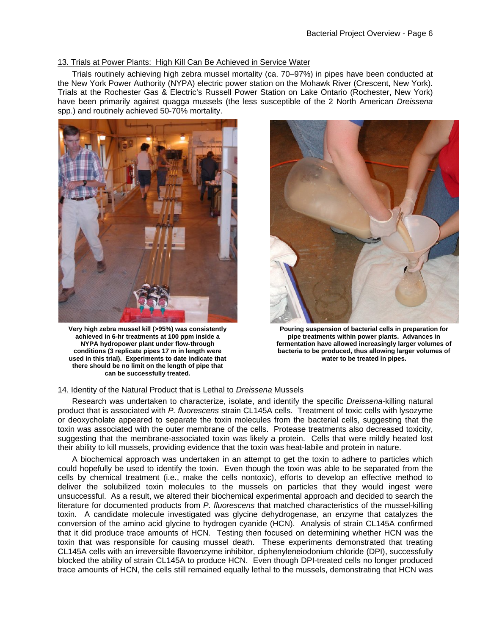#### 13. Trials at Power Plants: High Kill Can Be Achieved in Service Water

Trials routinely achieving high zebra mussel mortality (ca. 70–97%) in pipes have been conducted at the New York Power Authority (NYPA) electric power station on the Mohawk River (Crescent, New York). Trials at the Rochester Gas & Electric's Russell Power Station on Lake Ontario (Rochester, New York) have been primarily against quagga mussels (the less susceptible of the 2 North American *Dreissena* spp.) and routinely achieved 50-70% mortality.



**Very high zebra mussel kill (>95%) was consistently achieved in 6-hr treatments at 100 ppm inside a NYPA hydropower plant under flow-through conditions (3 replicate pipes 17 m in length were used in this trial). Experiments to date indicate that there should be no limit on the length of pipe that can be successfully treated.**



**Pouring suspension of bacterial cells in preparation for pipe treatments within power plants. Advances in ermentation have allowed increasingly larger volumes of f bacteria to be produced, thus allowing larger volumes of water to be treated in pipes.**

#### 14. Identity of the Natural Product that is Lethal to *Dreissena* Mussels

Research was undertaken to characterize, isolate, and identify the specific *Dreissena*-killing natural product that is associated with *P. fluorescens* strain CL145A cells. Treatment of toxic cells with lysozyme or deoxycholate appeared to separate the toxin molecules from the bacterial cells, suggesting that the toxin was associated with the outer membrane of the cells. Protease treatments also decreased toxicity, suggesting that the membrane-associated toxin was likely a protein. Cells that were mildly heated lost their ability to kill mussels, providing evidence that the toxin was heat-labile and protein in nature.

A biochemical approach was undertaken in an attempt to get the toxin to adhere to particles which could hopefully be used to identify the toxin. Even though the toxin was able to be separated from the cells by chemical treatment (i.e., make the cells nontoxic), efforts to develop an effective method to deliver the solubilized toxin molecules to the mussels on particles that they would ingest were unsuccessful. As a result, we altered their biochemical experimental approach and decided to search the literature for documented products from *P. fluorescens* that matched characteristics of the mussel-killing toxin. A candidate molecule investigated was glycine dehydrogenase, an enzyme that catalyzes the conversion of the amino acid glycine to hydrogen cyanide (HCN). Analysis of strain CL145A confirmed that it did produce trace amounts of HCN. Testing then focused on determining whether HCN was the toxin that was responsible for causing mussel death. These experiments demonstrated that treating CL145A cells with an irreversible flavoenzyme inhibitor, diphenyleneiodonium chloride (DPI), successfully blocked the ability of strain CL145A to produce HCN. Even though DPI-treated cells no longer produced trace amounts of HCN, the cells still remained equally lethal to the mussels, demonstrating that HCN was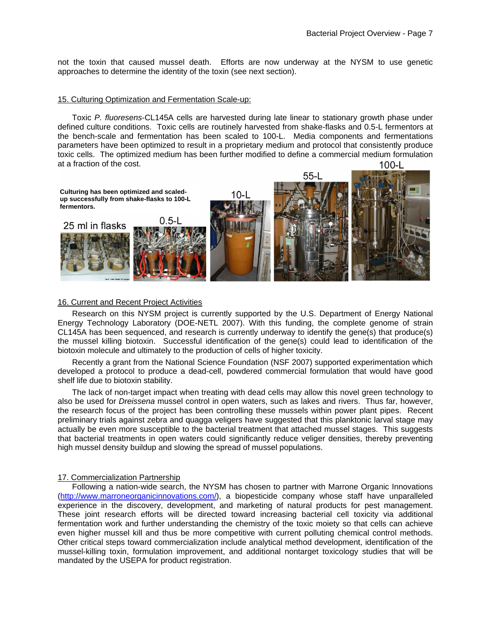not the toxin that caused mussel death. Efforts are now underway at the NYSM to use genetic approaches to determine the identity of the toxin (see next section).

#### 15. Culturing Optimization and Fermentation Scale-up:

Toxic *P. fluoresens*-CL145A cells are harvested during late linear to stationary growth phase under defined culture conditions. Toxic cells are routinely harvested from shake-flasks and 0.5-L fermentors at the bench-scale and fermentation has been scaled to 100-L. Media components and fermentations parameters have been optimized to result in a proprietary medium and protocol that consistently produce toxic cells. The optimized medium has been further modified to define a commercial medium formulation at a fraction of the cost.  $100-L$ 



#### 16. Current and Recent Project Activities

Research on this NYSM project is currently supported by the U.S. Department of Energy National Energy Technology Laboratory (DOE-NETL 2007). With this funding, the complete genome of strain CL145A has been sequenced, and research is currently underway to identify the gene(s) that produce(s) the mussel killing biotoxin. Successful identification of the gene(s) could lead to identification of the biotoxin molecule and ultimately to the production of cells of higher toxicity.

Recently a grant from the National Science Foundation (NSF 2007) supported experimentation which developed a protocol to produce a dead-cell, powdered commercial formulation that would have good shelf life due to biotoxin stability.

The lack of non-target impact when treating with dead cells may allow this novel green technology to also be used for *Dreissena* mussel control in open waters, such as lakes and rivers. Thus far, however, the research focus of the project has been controlling these mussels within power plant pipes. Recent preliminary trials against zebra and quagga veligers have suggested that this planktonic larval stage may actually be even more susceptible to the bacterial treatment that attached mussel stages. This suggests that bacterial treatments in open waters could significantly reduce veliger densities, thereby preventing high mussel density buildup and slowing the spread of mussel populations.

#### 17. Commercialization Partnership

Following a nation-wide search, the NYSM has chosen to partner with Marrone Organic Innovations [\(http://www.marroneorganicinnovations.com/\)](http://www.marroneorganicinnovations.com/), a biopesticide company whose staff have unparalleled experience in the discovery, development, and marketing of natural products for pest management. These joint research efforts will be directed toward increasing bacterial cell toxicity via additional fermentation work and further understanding the chemistry of the toxic moiety so that cells can achieve even higher mussel kill and thus be more competitive with current polluting chemical control methods. Other critical steps toward commercialization include analytical method development, identification of the mussel-killing toxin, formulation improvement, and additional nontarget toxicology studies that will be mandated by the USEPA for product registration.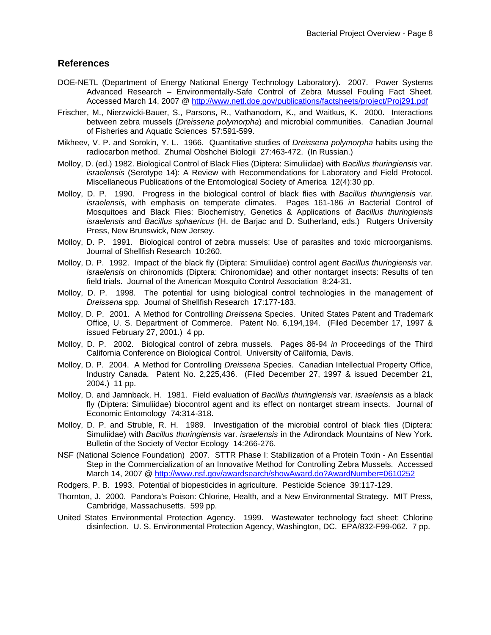### **References**

- DOE-NETL (Department of Energy National Energy Technology Laboratory). 2007. Power Systems Advanced Research – Environmentally-Safe Control of Zebra Mussel Fouling Fact Sheet. Accessed March 14, 2007 @<http://www.netl.doe.gov/publications/factsheets/project/Proj291.pdf>
- Frischer, M., Nierzwicki-Bauer, S., Parsons, R., Vathanodorn, K., and Waitkus, K. 2000. Interactions between zebra mussels (*Dreissena polymorpha*) and microbial communities. Canadian Journal of Fisheries and Aquatic Sciences 57:591-599.
- Mikheev, V. P. and Sorokin, Y. L. 1966. Quantitative studies of *Dreissena polymorpha* habits using the radiocarbon method. Zhurnal Obshchei Biologii 27:463-472. (In Russian.)
- Molloy, D. (ed.) 1982. Biological Control of Black Flies (Diptera: Simuliidae) with *Bacillus thuringiensis* var. *israelensis* (Serotype 14): A Review with Recommendations for Laboratory and Field Protocol. Miscellaneous Publications of the Entomological Society of America 12(4):30 pp.
- Molloy, D. P. 1990. Progress in the biological control of black flies with *Bacillus thuringiensis* var. *israelensis*, with emphasis on temperate climates. Pages 161-186 *in* Bacterial Control of Mosquitoes and Black Flies: Biochemistry, Genetics & Applications of *Bacillus thuringiensis israelensis* and *Bacillus sphaericus* (H. de Barjac and D. Sutherland, eds.) Rutgers University Press, New Brunswick, New Jersey.
- Molloy, D. P. 1991. Biological control of zebra mussels: Use of parasites and toxic microorganisms. Journal of Shellfish Research 10:260.
- Molloy, D. P. 1992. Impact of the black fly (Diptera: Simuliidae) control agent *Bacillus thuringiensis* var. *israelensis* on chironomids (Diptera: Chironomidae) and other nontarget insects: Results of ten field trials. Journal of the American Mosquito Control Association 8:24-31.
- Molloy, D. P. 1998. The potential for using biological control technologies in the management of *Dreissena* spp. Journal of Shellfish Research 17:177-183.
- Molloy, D. P. 2001. A Method for Controlling *Dreissena* Species. United States Patent and Trademark Office, U. S. Department of Commerce. Patent No. 6,194,194. (Filed December 17, 1997 & issued February 27, 2001.) 4 pp.
- Molloy, D. P. 2002. Biological control of zebra mussels. Pages 86-94 *in* Proceedings of the Third California Conference on Biological Control. University of California, Davis.
- Molloy, D. P. 2004. A Method for Controlling *Dreissena* Species. Canadian Intellectual Property Office, Industry Canada. Patent No. 2,225,436. (Filed December 27, 1997 & issued December 21, 2004.) 11 pp.
- Molloy, D. and Jamnback, H. 1981. Field evaluation of *Bacillus thuringiensis* var. *israelensis* as a black fly (Diptera: Simuliidae) biocontrol agent and its effect on nontarget stream insects. Journal of Economic Entomology 74:314-318.
- Molloy, D. P. and Struble, R. H. 1989. Investigation of the microbial control of black flies (Diptera: Simuliidae) with *Bacillus thuringiensis* var. *israelensis* in the Adirondack Mountains of New York. Bulletin of the Society of Vector Ecology 14:266-276.
- NSF (National Science Foundation) 2007. STTR Phase I: Stabilization of a Protein Toxin An Essential Step in the Commercialization of an Innovative Method for Controlling Zebra Mussels. Accessed March 14, 2007 @<http://www.nsf.gov/awardsearch/showAward.do?AwardNumber=0610252>
- Rodgers, P. B. 1993. Potential of biopesticides in agriculture*.* Pesticide Science39:117-129.
- Thornton, J. 2000. Pandora's Poison: Chlorine, Health, and a New Environmental Strategy. MIT Press, Cambridge, Massachusetts. 599 pp.
- United States Environmental Protection Agency. 1999. Wastewater technology fact sheet: Chlorine disinfection. U. S. Environmental Protection Agency, Washington, DC. EPA/832-F99-062. 7 pp.